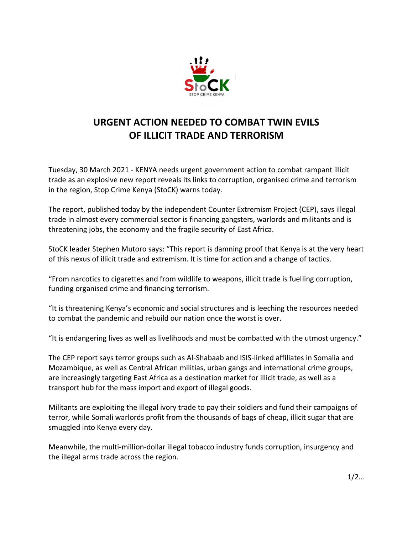

## **URGENT ACTION NEEDED TO COMBAT TWIN EVILS OF ILLICIT TRADE AND TERRORISM**

Tuesday, 30 March 2021 - KENYA needs urgent government action to combat rampant illicit trade as an explosive new report reveals its links to corruption, organised crime and terrorism in the region, Stop Crime Kenya (StoCK) warns today.

The report, [published today by the independent Counter Extremism Project \(CEP\),](https://www.counterextremism.com/sites/default/files/2021-03/unholy-alliance-report-032921.pdf) says illegal trade in almost every commercial sector is financing gangsters, warlords and militants and is threatening jobs, the economy and the fragile security of East Africa.

StoCK leader Stephen Mutoro says: "This report is damning proof that Kenya is at the very heart of this nexus of illicit trade and extremism. It is time for action and a change of tactics.

"From narcotics to cigarettes and from wildlife to weapons, illicit trade is fuelling corruption, funding organised crime and financing terrorism.

"It is threatening Kenya's economic and social structures and is leeching the resources needed to combat the pandemic and rebuild our nation once the worst is over.

"It is endangering lives as well as livelihoods and must be combatted with the utmost urgency."

The CEP report says terror groups such as Al-Shabaab and ISIS-linked affiliates in Somalia and Mozambique, as well as Central African militias, urban gangs and international crime groups, are increasingly targeting East Africa as a destination market for illicit trade, as well as a transport hub for the mass import and export of illegal goods.

Militants are exploiting the illegal ivory trade to pay their soldiers and fund their campaigns of terror, while Somali warlords profit from the thousands of bags of cheap, illicit sugar that are smuggled into Kenya every day.

Meanwhile, the multi-million-dollar illegal tobacco industry funds corruption, insurgency and the illegal arms trade across the region.